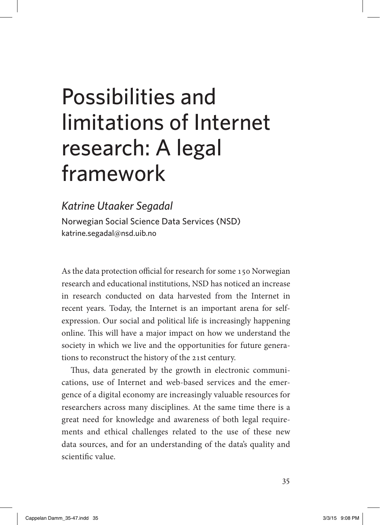# Possibilities and limitations of Internet research: A legal framework

#### *Katrine Utaaker Segadal*

Norwegian Social Science Data Services (NSD) [katrine.segadal@nsd.uib.no](mailto:katrine.segadal@nsd.uib.no)

As the data protection official for research for some 150 Norwegian research and educational institutions, NSD has noticed an increase in research conducted on data harvested from the Internet in recent years. Today, the Internet is an important arena for selfexpression. Our social and political life is increasingly happening online. This will have a major impact on how we understand the society in which we live and the opportunities for future generations to reconstruct the history of the 21st century.

Thus, data generated by the growth in electronic communications, use of Internet and web-based services and the emergence of a digital economy are increasingly valuable resources for researchers across many disciplines. At the same time there is a great need for knowledge and awareness of both legal requirements and ethical challenges related to the use of these new data sources, and for an understanding of the data's quality and scientific value.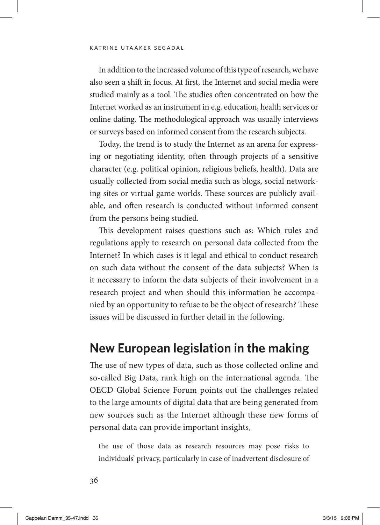In addition to the increased volume of this type of research, we have also seen a shift in focus. At first, the Internet and social media were studied mainly as a tool. The studies often concentrated on how the Internet worked as an instrument in e.g. education, health services or online dating. The methodological approach was usually interviews or surveys based on informed consent from the research subjects.

Today, the trend is to study the Internet as an arena for expressing or negotiating identity, often through projects of a sensitive character (e.g. political opinion, religious beliefs, health). Data are usually collected from social media such as blogs, social networking sites or virtual game worlds. These sources are publicly available, and often research is conducted without informed consent from the persons being studied.

This development raises questions such as: Which rules and regulations apply to research on personal data collected from the Internet? In which cases is it legal and ethical to conduct research on such data without the consent of the data subjects? When is it necessary to inform the data subjects of their involvement in a research project and when should this information be accompanied by an opportunity to refuse to be the object of research? These issues will be discussed in further detail in the following.

#### **New European legislation in the making**

The use of new types of data, such as those collected online and so-called Big Data, rank high on the international agenda. The OECD Global Science Forum points out the challenges related to the large amounts of digital data that are being generated from new sources such as the Internet although these new forms of personal data can provide important insights,

the use of those data as research resources may pose risks to individuals' privacy, particularly in case of inadvertent disclosure of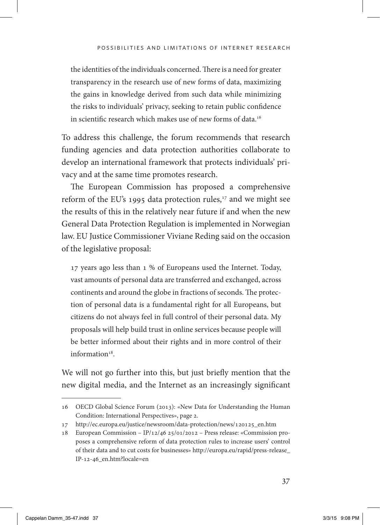the identities of the individuals concerned. There is a need for greater transparency in the research use of new forms of data, maximizing the gains in knowledge derived from such data while minimizing the risks to individuals' privacy, seeking to retain public confidence in scientific research which makes use of new forms of data.<sup>16</sup>

To address this challenge, the forum recommends that research funding agencies and data protection authorities collaborate to develop an international framework that protects individuals' privacy and at the same time promotes research.

The European Commission has proposed a comprehensive reform of the EU's 1995 data protection rules,<sup>17</sup> and we might see the results of this in the relatively near future if and when the new General Data Protection Regulation is implemented in Norwegian law. EU Justice Commissioner Viviane Reding said on the occasion of the legislative proposal:

17 years ago less than 1 % of Europeans used the Internet. Today, vast amounts of personal data are transferred and exchanged, across continents and around the globe in fractions of seconds. The protection of personal data is a fundamental right for all Europeans, but citizens do not always feel in full control of their personal data. My proposals will help build trust in online services because people will be better informed about their rights and in more control of their information<sup>18</sup>

We will not go further into this, but just briefly mention that the new digital media, and the Internet as an increasingly significant

<sup>16</sup> OECD Global Science Forum (2013): «New Data for Understanding the Human Condition: International Perspectives», page 2.

<sup>17</sup> http://ec.europa.eu/justice/newsroom/data-protection/news/120125\_en.htm

<sup>18</sup> European Commission – IP/12/46 25/01/2012 – Press release: «Commission proposes a comprehensive reform of data protection rules to increase users' control of their data and to cut costs for businesses» http://europa.eu/rapid/press-release\_ IP-12-46\_en.htm?locale=en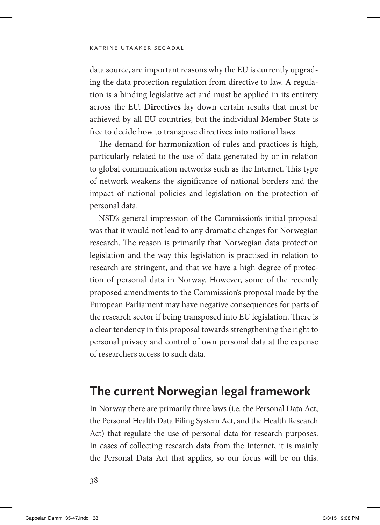data source, are important reasons why the EU is currently upgrading the data protection regulation from directive to law. A regulation is a binding legislative act and must be applied in its entirety across the EU. **Directives** lay down certain results that must be achieved by all EU countries, but the individual Member State is free to decide how to transpose directives into national laws.

The demand for harmonization of rules and practices is high, particularly related to the use of data generated by or in relation to global communication networks such as the Internet. This type of network weakens the significance of national borders and the impact of national policies and legislation on the protection of personal data.

NSD's general impression of the Commission's initial proposal was that it would not lead to any dramatic changes for Norwegian research. The reason is primarily that Norwegian data protection legislation and the way this legislation is practised in relation to research are stringent, and that we have a high degree of protection of personal data in Norway. However, some of the recently proposed amendments to the Commission's proposal made by the European Parliament may have negative consequences for parts of the research sector if being transposed into EU legislation. There is a clear tendency in this proposal towards strengthening the right to personal privacy and control of own personal data at the expense of researchers access to such data.

#### **The current Norwegian legal framework**

In Norway there are primarily three laws (i.e. the Personal Data Act, the Personal Health Data Filing System Act, and the Health Research Act) that regulate the use of personal data for research purposes. In cases of collecting research data from the Internet, it is mainly the Personal Data Act that applies, so our focus will be on this.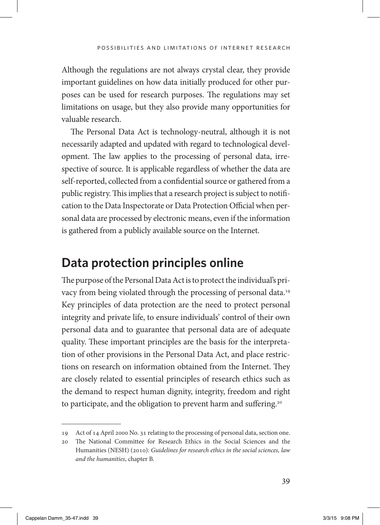Although the regulations are not always crystal clear, they provide important guidelines on how data initially produced for other purposes can be used for research purposes. The regulations may set limitations on usage, but they also provide many opportunities for valuable research.

The Personal Data Act is technology-neutral, although it is not necessarily adapted and updated with regard to technological development. The law applies to the processing of personal data, irrespective of source. It is applicable regardless of whether the data are self-reported, collected from a confidential source or gathered from a public registry. This implies that a research project is subject to notification to the Data Inspectorate or Data Protection Official when personal data are processed by electronic means, even if the information is gathered from a publicly available source on the Internet.

### **Data protection principles online**

The purpose of the Personal Data Act is to protect the individual's privacy from being violated through the processing of personal data.19 Key principles of data protection are the need to protect personal integrity and private life, to ensure individuals' control of their own personal data and to guarantee that personal data are of adequate quality. These important principles are the basis for the interpretation of other provisions in the Personal Data Act, and place restrictions on research on information obtained from the Internet. They are closely related to essential principles of research ethics such as the demand to respect human dignity, integrity, freedom and right to participate, and the obligation to prevent harm and suffering.<sup>20</sup>

<sup>19</sup> Act of 14 April 2000 No. 31 relating to the processing of personal data, section one.

<sup>20</sup> The National Committee for Research Ethics in the Social Sciences and the Humanities (NESH) (2010): *Guidelines for research ethics in the social sciences, law and the humanities*, chapter B.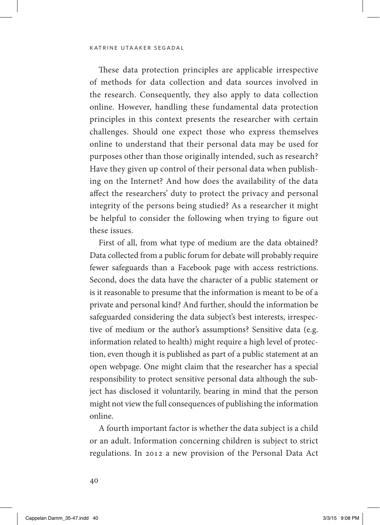These data protection principles are applicable irrespective of methods for data collection and data sources involved in the research. Consequently, they also apply to data collection online. However, handling these fundamental data protection principles in this context presents the researcher with certain challenges. Should one expect those who express themselves online to understand that their personal data may be used for purposes other than those originally intended, such as research? Have they given up control of their personal data when publishing on the Internet? And how does the availability of the data affect the researchers' duty to protect the privacy and personal integrity of the persons being studied? As a researcher it might be helpful to consider the following when trying to figure out these issues.

First of all, from what type of medium are the data obtained? Data collected from a public forum for debate will probably require fewer safeguards than a Facebook page with access restrictions. Second, does the data have the character of a public statement or is it reasonable to presume that the information is meant to be of a private and personal kind? And further, should the information be safeguarded considering the data subject's best interests, irrespective of medium or the author's assumptions? Sensitive data (e.g. information related to health) might require a high level of protection, even though it is published as part of a public statement at an open webpage. One might claim that the researcher has a special responsibility to protect sensitive personal data although the subject has disclosed it voluntarily, bearing in mind that the person might not view the full consequences of publishing the information online.

A fourth important factor is whether the data subject is a child or an adult. Information concerning children is subject to strict regulations. In 2012 a new provision of the Personal Data Act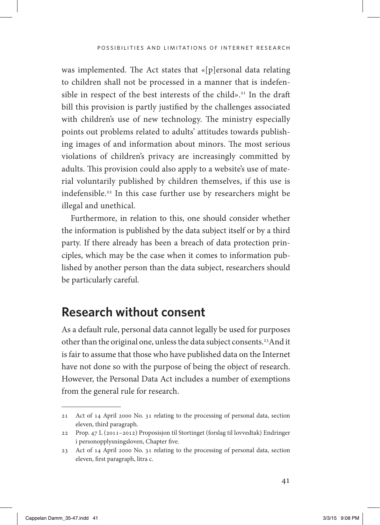was implemented. The Act states that «[p]ersonal data relating to children shall not be processed in a manner that is indefensible in respect of the best interests of the child».<sup>21</sup> In the draft bill this provision is partly justified by the challenges associated with children's use of new technology. The ministry especially points out problems related to adults' attitudes towards publishing images of and information about minors. The most serious violations of children's privacy are increasingly committed by adults. This provision could also apply to a website's use of material voluntarily published by children themselves, if this use is indefensible.22 In this case further use by researchers might be illegal and unethical.

Furthermore, in relation to this, one should consider whether the information is published by the data subject itself or by a third party. If there already has been a breach of data protection principles, which may be the case when it comes to information published by another person than the data subject, researchers should be particularly careful.

### **Research without consent**

As a default rule, personal data cannot legally be used for purposes other than the original one, unless the data subject consents.23And it is fair to assume that those who have published data on the Internet have not done so with the purpose of being the object of research. However, the Personal Data Act includes a number of exemptions from the general rule for research.

<sup>21</sup> Act of 14 April 2000 No. 31 relating to the processing of personal data, section eleven, third paragraph.

<sup>22</sup> Prop. 47 L (2011–2012) Proposisjon til Stortinget (forslag til lovvedtak) Endringer i personopplysningsloven, Chapter five.

<sup>23</sup> Act of 14 April 2000 No. 31 relating to the processing of personal data, section eleven, first paragraph, litra c.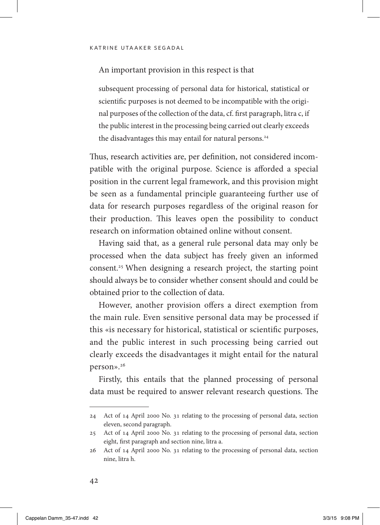#### An important provision in this respect is that

subsequent processing of personal data for historical, statistical or scientific purposes is not deemed to be incompatible with the original purposes of the collection of the data, cf. first paragraph, litra c, if the public interest in the processing being carried out clearly exceeds the disadvantages this may entail for natural persons.<sup>24</sup>

Thus, research activities are, per definition, not considered incompatible with the original purpose. Science is afforded a special position in the current legal framework, and this provision might be seen as a fundamental principle guaranteeing further use of data for research purposes regardless of the original reason for their production. This leaves open the possibility to conduct research on information obtained online without consent.

Having said that, as a general rule personal data may only be processed when the data subject has freely given an informed consent.25 When designing a research project, the starting point should always be to consider whether consent should and could be obtained prior to the collection of data.

However, another provision offers a direct exemption from the main rule. Even sensitive personal data may be processed if this «is necessary for historical, statistical or scientific purposes, and the public interest in such processing being carried out clearly exceeds the disadvantages it might entail for the natural person».26

Firstly, this entails that the planned processing of personal data must be required to answer relevant research questions. The

<sup>24</sup> Act of 14 April 2000 No. 31 relating to the processing of personal data, section eleven, second paragraph.

<sup>25</sup> Act of 14 April 2000 No. 31 relating to the processing of personal data, section eight, first paragraph and section nine, litra a.

<sup>26</sup> Act of 14 April 2000 No. 31 relating to the processing of personal data, section nine, litra h.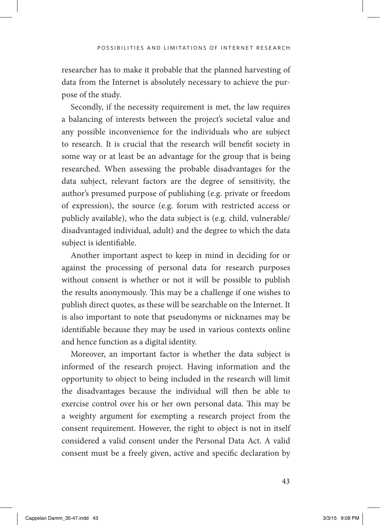researcher has to make it probable that the planned harvesting of data from the Internet is absolutely necessary to achieve the purpose of the study.

Secondly, if the necessity requirement is met, the law requires a balancing of interests between the project's societal value and any possible inconvenience for the individuals who are subject to research. It is crucial that the research will benefit society in some way or at least be an advantage for the group that is being researched. When assessing the probable disadvantages for the data subject, relevant factors are the degree of sensitivity, the author's presumed purpose of publishing (e.g. private or freedom of expression), the source (e.g. forum with restricted access or publicly available), who the data subject is (e.g. child, vulnerable/ disadvantaged individual, adult) and the degree to which the data subject is identifiable.

Another important aspect to keep in mind in deciding for or against the processing of personal data for research purposes without consent is whether or not it will be possible to publish the results anonymously. This may be a challenge if one wishes to publish direct quotes, as these will be searchable on the Internet. It is also important to note that pseudonyms or nicknames may be identifiable because they may be used in various contexts online and hence function as a digital identity.

Moreover, an important factor is whether the data subject is informed of the research project. Having information and the opportunity to object to being included in the research will limit the disadvantages because the individual will then be able to exercise control over his or her own personal data. This may be a weighty argument for exempting a research project from the consent requirement. However, the right to object is not in itself considered a valid consent under the Personal Data Act. A valid consent must be a freely given, active and specific declaration by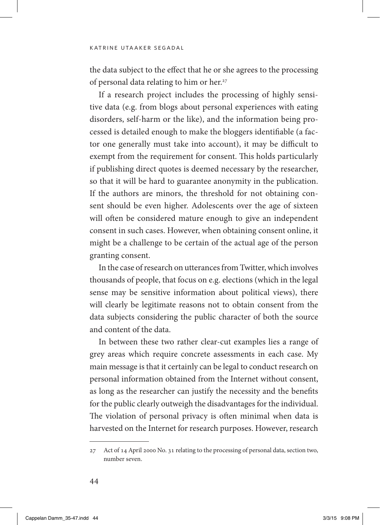the data subject to the effect that he or she agrees to the processing of personal data relating to him or her.<sup>27</sup>

If a research project includes the processing of highly sensitive data (e.g. from blogs about personal experiences with eating disorders, self-harm or the like), and the information being processed is detailed enough to make the bloggers identifiable (a factor one generally must take into account), it may be difficult to exempt from the requirement for consent. This holds particularly if publishing direct quotes is deemed necessary by the researcher, so that it will be hard to guarantee anonymity in the publication. If the authors are minors, the threshold for not obtaining consent should be even higher. Adolescents over the age of sixteen will often be considered mature enough to give an independent consent in such cases. However, when obtaining consent online, it might be a challenge to be certain of the actual age of the person granting consent.

In the case of research on utterances from Twitter, which involves thousands of people, that focus on e.g. elections (which in the legal sense may be sensitive information about political views), there will clearly be legitimate reasons not to obtain consent from the data subjects considering the public character of both the source and content of the data.

In between these two rather clear-cut examples lies a range of grey areas which require concrete assessments in each case. My main message is that it certainly can be legal to conduct research on personal information obtained from the Internet without consent, as long as the researcher can justify the necessity and the benefits for the public clearly outweigh the disadvantages for the individual. The violation of personal privacy is often minimal when data is harvested on the Internet for research purposes. However, research

<sup>27</sup> Act of 14 April 2000 No. 31 relating to the processing of personal data, section two, number seven.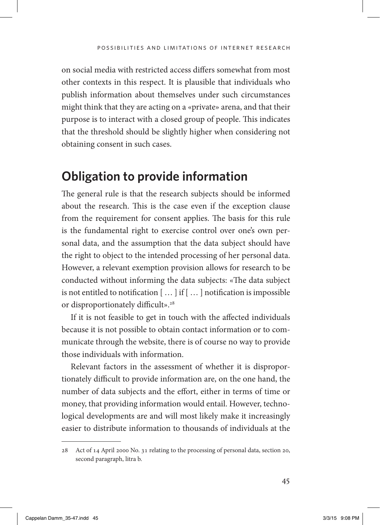on social media with restricted access differs somewhat from most other contexts in this respect. It is plausible that individuals who publish information about themselves under such circumstances might think that they are acting on a «private» arena, and that their purpose is to interact with a closed group of people. This indicates that the threshold should be slightly higher when considering not obtaining consent in such cases.

# **Obligation to provide information**

The general rule is that the research subjects should be informed about the research. This is the case even if the exception clause from the requirement for consent applies. The basis for this rule is the fundamental right to exercise control over one's own personal data, and the assumption that the data subject should have the right to object to the intended processing of her personal data. However, a relevant exemption provision allows for research to be conducted without informing the data subjects: «The data subject is not entitled to notification [ … ] if [ … ] notification is impossible or disproportionately difficult».<sup>28</sup>

If it is not feasible to get in touch with the affected individuals because it is not possible to obtain contact information or to communicate through the website, there is of course no way to provide those individuals with information.

Relevant factors in the assessment of whether it is disproportionately difficult to provide information are, on the one hand, the number of data subjects and the effort, either in terms of time or money, that providing information would entail. However, technological developments are and will most likely make it increasingly easier to distribute information to thousands of individuals at the

<sup>28</sup> Act of 14 April 2000 No. 31 relating to the processing of personal data, section 20, second paragraph, litra b.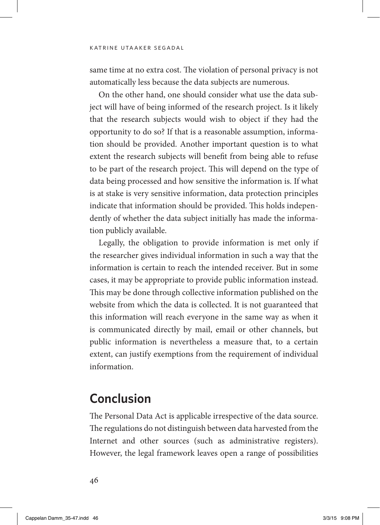same time at no extra cost. The violation of personal privacy is not automatically less because the data subjects are numerous.

On the other hand, one should consider what use the data subject will have of being informed of the research project. Is it likely that the research subjects would wish to object if they had the opportunity to do so? If that is a reasonable assumption, information should be provided. Another important question is to what extent the research subjects will benefit from being able to refuse to be part of the research project. This will depend on the type of data being processed and how sensitive the information is. If what is at stake is very sensitive information, data protection principles indicate that information should be provided. This holds independently of whether the data subject initially has made the information publicly available.

Legally, the obligation to provide information is met only if the researcher gives individual information in such a way that the information is certain to reach the intended receiver. But in some cases, it may be appropriate to provide public information instead. This may be done through collective information published on the website from which the data is collected. It is not guaranteed that this information will reach everyone in the same way as when it is communicated directly by mail, email or other channels, but public information is nevertheless a measure that, to a certain extent, can justify exemptions from the requirement of individual information.

### **Conclusion**

The Personal Data Act is applicable irrespective of the data source. The regulations do not distinguish between data harvested from the Internet and other sources (such as administrative registers). However, the legal framework leaves open a range of possibilities